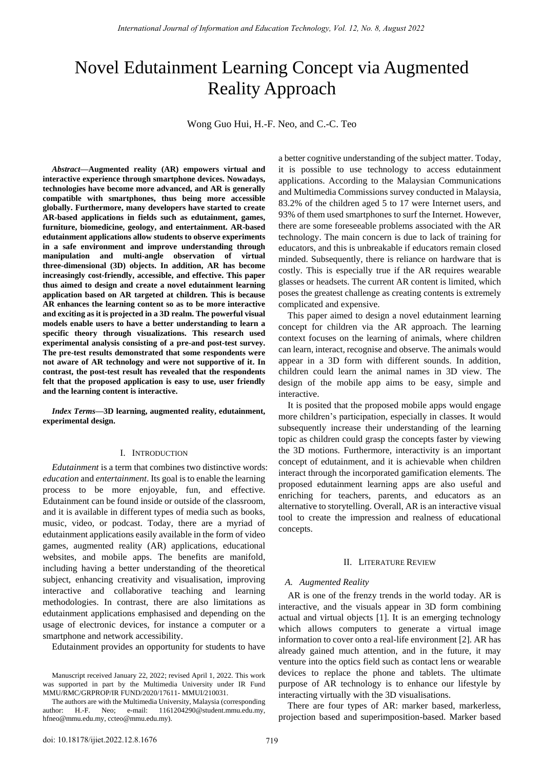# Novel Edutainment Learning Concept via Augmented Reality Approach

Wong Guo Hui, H.-F. Neo, and C.-C. Teo

*Abstract***—Augmented reality (AR) empowers virtual and interactive experience through smartphone devices. Nowadays, technologies have become more advanced, and AR is generally compatible with smartphones, thus being more accessible globally. Furthermore, many developers have started to create AR-based applications in fields such as edutainment, games, furniture, biomedicine, geology, and entertainment. AR-based edutainment applications allow students to observe experiments in a safe environment and improve understanding through manipulation and multi-angle observation of virtual three-dimensional (3D) objects. In addition, AR has become increasingly cost-friendly, accessible, and effective. This paper thus aimed to design and create a novel edutainment learning application based on AR targeted at children. This is because AR enhances the learning content so as to be more interactive and exciting as it is projected in a 3D realm. The powerful visual models enable users to have a better understanding to learn a specific theory through visualizations. This research used experimental analysis consisting of a pre-and post-test survey. The pre-test results demonstrated that some respondents were not aware of AR technology and were not supportive of it. In contrast, the post-test result has revealed that the respondents felt that the proposed application is easy to use, user friendly and the learning content is interactive.** 

*Index Terms***—3D learning, augmented reality, edutainment, experimental design.** 

#### I. INTRODUCTION

*Edutainment* is a term that combines two distinctive words: *education* and *entertainment*. Its goal is to enable the learning process to be more enjoyable, fun, and effective. Edutainment can be found inside or outside of the classroom, and it is available in different types of media such as books, music, video, or podcast. Today, there are a myriad of edutainment applications easily available in the form of video games, augmented reality (AR) applications, educational websites, and mobile apps. The benefits are manifold, including having a better understanding of the theoretical subject, enhancing creativity and visualisation, improving interactive and collaborative teaching and learning methodologies. In contrast, there are also limitations as edutainment applications emphasised and depending on the usage of electronic devices, for instance a computer or a smartphone and network accessibility.

Edutainment provides an opportunity for students to have

a better cognitive understanding of the subject matter. Today, it is possible to use technology to access edutainment applications. According to the Malaysian Communications and Multimedia Commissions survey conducted in Malaysia, 83.2% of the children aged 5 to 17 were Internet users, and 93% of them used smartphones to surf the Internet. However, there are some foreseeable problems associated with the AR technology. The main concern is due to lack of training for educators, and this is unbreakable if educators remain closed minded. Subsequently, there is reliance on hardware that is costly. This is especially true if the AR requires wearable glasses or headsets. The current AR content is limited, which poses the greatest challenge as creating contents is extremely complicated and expensive.

This paper aimed to design a novel edutainment learning concept for children via the AR approach. The learning context focuses on the learning of animals, where children can learn, interact, recognise and observe. The animals would appear in a 3D form with different sounds. In addition, children could learn the animal names in 3D view. The design of the mobile app aims to be easy, simple and interactive.

It is posited that the proposed mobile apps would engage more children"s participation, especially in classes. It would subsequently increase their understanding of the learning topic as children could grasp the concepts faster by viewing the 3D motions. Furthermore, interactivity is an important concept of edutainment, and it is achievable when children interact through the incorporated gamification elements. The proposed edutainment learning apps are also useful and enriching for teachers, parents, and educators as an alternative to storytelling. Overall, AR is an interactive visual tool to create the impression and realness of educational concepts.

#### II. LITERATURE REVIEW

# *A. Augmented Reality*

AR is one of the frenzy trends in the world today. AR is interactive, and the visuals appear in 3D form combining actual and virtual objects [1]. It is an emerging technology which allows computers to generate a virtual image information to cover onto a real-life environment [2]. AR has already gained much attention, and in the future, it may venture into the optics field such as contact lens or wearable devices to replace the phone and tablets. The ultimate purpose of AR technology is to enhance our lifestyle by interacting virtually with the 3D visualisations.

There are four types of AR: marker based, markerless, projection based and superimposition-based. Marker based

Manuscript received January 22, 2022; revised April 1, 2022. This work was supported in part by the Multimedia University under IR Fund MMU/RMC/GRPROP/IR FUND/2020/17611- MMUI/210031.

The authors are with the Multimedia University, Malaysia (corresponding author: H.-F. Neo; e-mail: [1161204290@student.mmu.edu.my,](mailto:1161204290@student.mmu.edu.my)  [hfneo@mmu.edu.my,](mailto:hfneo@mmu.edu.my) ccteo@mmu.edu.my).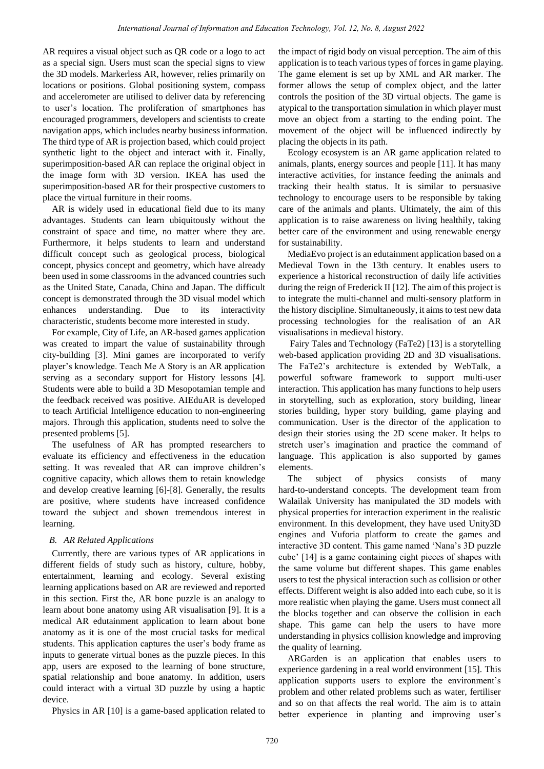AR requires a visual object such as QR code or a logo to act as a special sign. Users must scan the special signs to view the 3D models. Markerless AR, however, relies primarily on locations or positions. Global positioning system, compass and accelerometer are utilised to deliver data by referencing to user"s location. The proliferation of smartphones has encouraged programmers, developers and scientists to create navigation apps, which includes nearby business information. The third type of AR is projection based, which could project synthetic light to the object and interact with it. Finally, superimposition-based AR can replace the original object in the image form with 3D version. IKEA has used the superimposition-based AR for their prospective customers to place the virtual furniture in their rooms.

AR is widely used in educational field due to its many advantages. Students can learn ubiquitously without the constraint of space and time, no matter where they are. Furthermore, it helps students to learn and understand difficult concept such as geological process, biological concept, physics concept and geometry, which have already been used in some classrooms in the advanced countries such as the United State, Canada, China and Japan. The difficult concept is demonstrated through the 3D visual model which enhances understanding. Due to its interactivity characteristic, students become more interested in study.

For example, City of Life, an AR-based games application was created to impart the value of sustainability through city-building [3]. Mini games are incorporated to verify player"s knowledge. Teach Me A Story is an AR application serving as a secondary support for History lessons [4]. Students were able to build a 3D Mesopotamian temple and the feedback received was positive. AIEduAR is developed to teach Artificial Intelligence education to non-engineering majors. Through this application, students need to solve the presented problems [5].

The usefulness of AR has prompted researchers to evaluate its efficiency and effectiveness in the education setting. It was revealed that AR can improve children's cognitive capacity, which allows them to retain knowledge and develop creative learning [6]-[8]. Generally, the results are positive, where students have increased confidence toward the subject and shown tremendous interest in learning.

# *B. AR Related Applications*

Currently, there are various types of AR applications in different fields of study such as history, culture, hobby, entertainment, learning and ecology. Several existing learning applications based on AR are reviewed and reported in this section. First the, AR bone puzzle is an analogy to learn about bone anatomy using AR visualisation [9]. It is a medical AR edutainment application to learn about bone anatomy as it is one of the most crucial tasks for medical students. This application captures the user's body frame as inputs to generate virtual bones as the puzzle pieces. In this app, users are exposed to the learning of bone structure, spatial relationship and bone anatomy. In addition, users could interact with a virtual 3D puzzle by using a haptic device.

Physics in AR [10] is a game-based application related to

the impact of rigid body on visual perception. The aim of this application is to teach various types of forces in game playing. The game element is set up by XML and AR marker. The former allows the setup of complex object, and the latter controls the position of the 3D virtual objects. The game is atypical to the transportation simulation in which player must move an object from a starting to the ending point. The movement of the object will be influenced indirectly by placing the objects in its path.

Ecology ecosystem is an AR game application related to animals, plants, energy sources and people [11]. It has many interactive activities, for instance feeding the animals and tracking their health status. It is similar to persuasive technology to encourage users to be responsible by taking care of the animals and plants. Ultimately, the aim of this application is to raise awareness on living healthily, taking better care of the environment and using renewable energy for sustainability.

MediaEvo project is an edutainment application based on a Medieval Town in the 13th century. It enables users to experience a historical reconstruction of daily life activities during the reign of Frederick II [12]. The aim of this project is to integrate the multi-channel and multi-sensory platform in the history discipline. Simultaneously, it aims to test new data processing technologies for the realisation of an AR visualisations in medieval history.

 Fairy Tales and Technology (FaTe2) [13] is a storytelling web-based application providing 2D and 3D visualisations. The FaTe2"s architecture is extended by WebTalk, a powerful software framework to support multi-user interaction. This application has many functions to help users in storytelling, such as exploration, story building, linear stories building, hyper story building, game playing and communication. User is the director of the application to design their stories using the 2D scene maker. It helps to stretch user"s imagination and practice the command of language. This application is also supported by games elements.

The subject of physics consists of many hard-to-understand concepts. The development team from Walailak University has manipulated the 3D models with physical properties for interaction experiment in the realistic environment. In this development, they have used Unity3D engines and Vuforia platform to create the games and interactive 3D content. This game named "Nana"s 3D puzzle cube" [14] is a game containing eight pieces of shapes with the same volume but different shapes. This game enables users to test the physical interaction such as collision or other effects. Different weight is also added into each cube, so it is more realistic when playing the game. Users must connect all the blocks together and can observe the collision in each shape. This game can help the users to have more understanding in physics collision knowledge and improving the quality of learning.

ARGarden is an application that enables users to experience gardening in a real world environment [15]. This application supports users to explore the environment's problem and other related problems such as water, fertiliser and so on that affects the real world. The aim is to attain better experience in planting and improving user's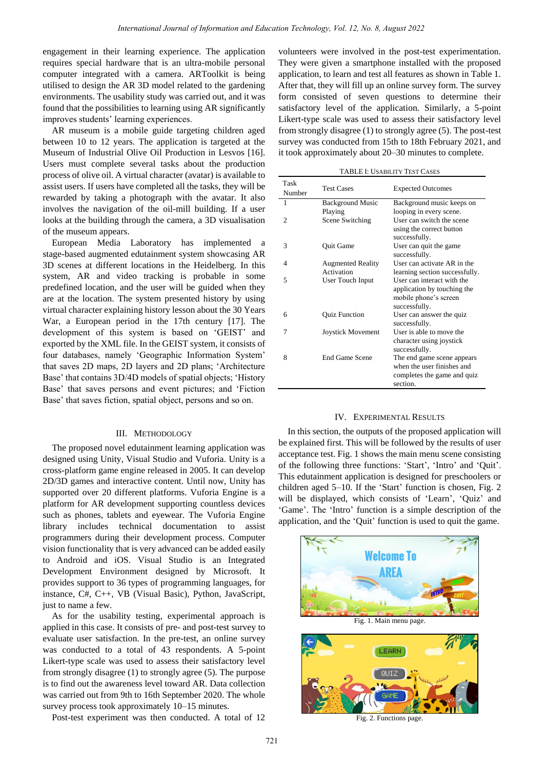engagement in their learning experience. The application requires special hardware that is an ultra-mobile personal computer integrated with a camera. ARToolkit is being utilised to design the AR 3D model related to the gardening environments. The usability study was carried out, and it was found that the possibilities to learning using AR significantly improves students' learning experiences.

AR museum is a mobile guide targeting children aged between 10 to 12 years. The application is targeted at the Museum of Industrial Olive Oil Production in Lesvos [16]. Users must complete several tasks about the production process of olive oil. A virtual character (avatar) is available to assist users. If users have completed all the tasks, they will be rewarded by taking a photograph with the avatar. It also involves the navigation of the oil-mill building. If a user looks at the building through the camera, a 3D visualisation of the museum appears.

European Media Laboratory has implemented a stage-based augmented edutainment system showcasing AR 3D scenes at different locations in the Heidelberg. In this system, AR and video tracking is probable in some predefined location, and the user will be guided when they are at the location. The system presented history by using virtual character explaining history lesson about the 30 Years War, a European period in the 17th century [17]. The development of this system is based on "GEIST" and exported by the XML file. In the GEIST system, it consists of four databases, namely 'Geographic Information System' that saves 2D maps, 2D layers and 2D plans; "Architecture Base" that contains 3D/4D models of spatial objects; "History Base" that saves persons and event pictures; and "Fiction Base' that saves fiction, spatial object, persons and so on.

## III. METHODOLOGY

The proposed novel edutainment learning application was designed using Unity, Visual Studio and Vuforia. Unity is a cross-platform game engine released in 2005. It can develop 2D/3D games and interactive content. Until now, Unity has supported over 20 different platforms. Vuforia Engine is a platform for AR development supporting countless devices such as phones, tablets and eyewear. The Vuforia Engine library includes technical documentation to assist programmers during their development process. Computer vision functionality that is very advanced can be added easily to Android and iOS. Visual Studio is an Integrated Development Environment designed by Microsoft. It provides support to 36 types of programming languages, for instance, C#, C++, VB (Visual Basic), Python, JavaScript, just to name a few.

As for the usability testing, experimental approach is applied in this case. It consists of pre- and post-test survey to evaluate user satisfaction. In the pre-test, an online survey was conducted to a total of 43 respondents. A 5-point Likert-type scale was used to assess their satisfactory level from strongly disagree (1) to strongly agree (5). The purpose is to find out the awareness level toward AR. Data collection was carried out from 9th to 16th September 2020. The whole survey process took approximately 10–15 minutes.

Post-test experiment was then conducted. A total of 12

volunteers were involved in the post-test experimentation. They were given a smartphone installed with the proposed application, to learn and test all features as shown in Table 1. After that, they will fill up an online survey form. The survey form consisted of seven questions to determine their satisfactory level of the application. Similarly, a 5-point Likert-type scale was used to assess their satisfactory level from strongly disagree (1) to strongly agree (5). The post-test survey was conducted from 15th to 18th February 2021, and it took approximately about 20–30 minutes to complete.

TABLE I: USABILITY TEST CASES

| Task<br>Number | <b>Test Cases</b>                      | <b>Expected Outcomes</b>                                                                            |
|----------------|----------------------------------------|-----------------------------------------------------------------------------------------------------|
| 1              | <b>Background Music</b><br>Playing     | Background music keeps on<br>looping in every scene.                                                |
| 2              | Scene Switching                        | User can switch the scene<br>using the correct button<br>successfully.                              |
| 3              | Quit Game                              | User can quit the game<br>successfully.                                                             |
| 4              | <b>Augmented Reality</b><br>Activation | User can activate AR in the<br>learning section successfully.                                       |
| 5              | User Touch Input                       | User can interact with the<br>application by touching the<br>mobile phone's screen<br>successfully. |
| 6              | <b>Quiz Function</b>                   | User can answer the quiz<br>successfully.                                                           |
| 7              | Joystick Movement                      | User is able to move the<br>character using joystick<br>successfully.                               |
| 8              | End Game Scene                         | The end game scene appears<br>when the user finishes and<br>completes the game and quiz<br>section. |

#### IV. EXPERIMENTAL RESULTS

In this section, the outputs of the proposed application will be explained first. This will be followed by the results of user acceptance test. Fig. 1 shows the main menu scene consisting of the following three functions: "Start", "Intro" and "Quit". This edutainment application is designed for preschoolers or children aged  $5-10$ . If the 'Start' function is chosen, Fig. 2 will be displayed, which consists of 'Learn', 'Quiz' and "Game". The "Intro" function is a simple description of the application, and the "Quit" function is used to quit the game.

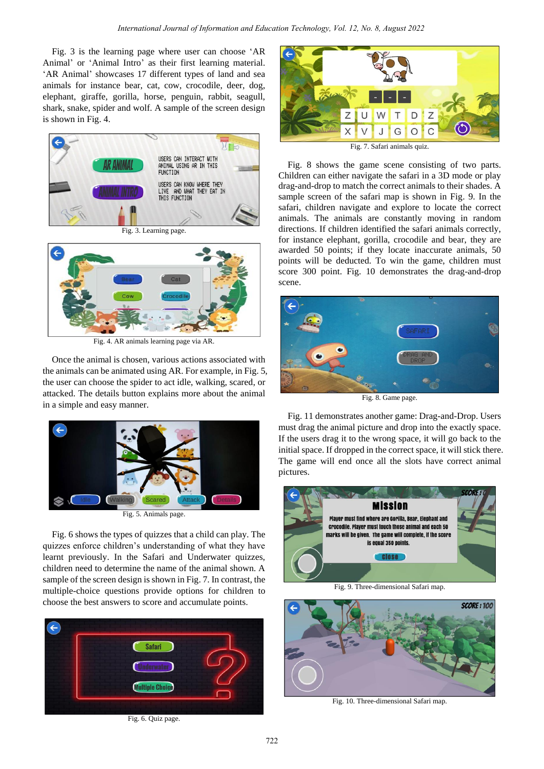Fig. 3 is the learning page where user can choose "AR Animal' or 'Animal Intro' as their first learning material. 'AR Animal' showcases 17 different types of land and sea animals for instance bear, cat, cow, crocodile, deer, dog, elephant, giraffe, gorilla, horse, penguin, rabbit, seagull, shark, snake, spider and wolf. A sample of the screen design is shown in Fig. 4.



Fig. 4. AR animals learning page via AR.

Once the animal is chosen, various actions associated with the animals can be animated using AR. For example, in Fig. 5, the user can choose the spider to act idle, walking, scared, or attacked. The details button explains more about the animal in a simple and easy manner.



Fig. 5. Animals page.

Fig. 6 shows the types of quizzes that a child can play. The quizzes enforce children"s understanding of what they have learnt previously. In the Safari and Underwater quizzes, children need to determine the name of the animal shown. A sample of the screen design is shown in Fig. 7. In contrast, the multiple-choice questions provide options for children to choose the best answers to score and accumulate points.



Fig. 6. Quiz page.



Fig. 8 shows the game scene consisting of two parts. Children can either navigate the safari in a 3D mode or play drag-and-drop to match the correct animals to their shades. A sample screen of the safari map is shown in Fig. 9. In the safari, children navigate and explore to locate the correct animals. The animals are constantly moving in random directions. If children identified the safari animals correctly, for instance elephant, gorilla, crocodile and bear, they are awarded 50 points; if they locate inaccurate animals, 50 points will be deducted. To win the game, children must score 300 point. Fig. 10 demonstrates the drag-and-drop scene.



Fig. 8. Game page.

Fig. 11 demonstrates another game: Drag-and-Drop. Users must drag the animal picture and drop into the exactly space. If the users drag it to the wrong space, it will go back to the initial space. If dropped in the correct space, it will stick there. The game will end once all the slots have correct animal pictures.



Fig. 9. Three-dimensional Safari map.



Fig. 10. Three-dimensional Safari map.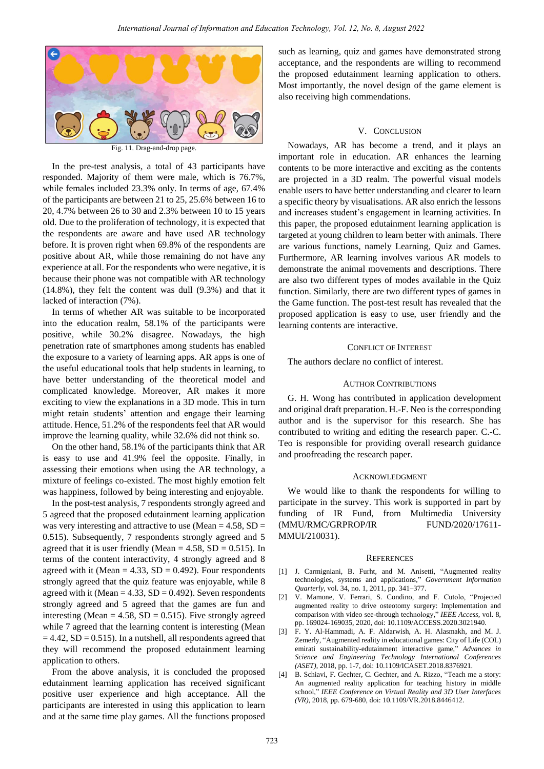

Fig. 11. Drag-and-drop page.

In the pre-test analysis, a total of 43 participants have responded. Majority of them were male, which is 76.7%, while females included 23.3% only. In terms of age, 67.4% of the participants are between 21 to 25, 25.6% between 16 to 20, 4.7% between 26 to 30 and 2.3% between 10 to 15 years old. Due to the proliferation of technology, it is expected that the respondents are aware and have used AR technology before. It is proven right when 69.8% of the respondents are positive about AR, while those remaining do not have any experience at all. For the respondents who were negative, it is because their phone was not compatible with AR technology (14.8%), they felt the content was dull (9.3%) and that it lacked of interaction (7%).

In terms of whether AR was suitable to be incorporated into the education realm, 58.1% of the participants were positive, while 30.2% disagree. Nowadays, the high penetration rate of smartphones among students has enabled the exposure to a variety of learning apps. AR apps is one of the useful educational tools that help students in learning, to have better understanding of the theoretical model and complicated knowledge. Moreover, AR makes it more exciting to view the explanations in a 3D mode. This in turn might retain students" attention and engage their learning attitude. Hence, 51.2% of the respondents feel that AR would improve the learning quality, while 32.6% did not think so.

On the other hand, 58.1% of the participants think that AR is easy to use and 41.9% feel the opposite. Finally, in assessing their emotions when using the AR technology, a mixture of feelings co-existed. The most highly emotion felt was happiness, followed by being interesting and enjoyable.

In the post-test analysis, 7 respondents strongly agreed and 5 agreed that the proposed edutainment learning application was very interesting and attractive to use (Mean  $= 4.58$ , SD  $=$ 0.515). Subsequently, 7 respondents strongly agreed and 5 agreed that it is user friendly (Mean  $= 4.58$ , SD  $= 0.515$ ). In terms of the content interactivity, 4 strongly agreed and 8 agreed with it (Mean  $= 4.33$ , SD  $= 0.492$ ). Four respondents strongly agreed that the quiz feature was enjoyable, while 8 agreed with it (Mean  $= 4.33$ , SD  $= 0.492$ ). Seven respondents strongly agreed and 5 agreed that the games are fun and interesting (Mean =  $4.58$ , SD = 0.515). Five strongly agreed while 7 agreed that the learning content is interesting (Mean  $= 4.42$ , SD  $= 0.515$ ). In a nutshell, all respondents agreed that they will recommend the proposed edutainment learning application to others.

From the above analysis, it is concluded the proposed edutainment learning application has received significant positive user experience and high acceptance. All the participants are interested in using this application to learn and at the same time play games. All the functions proposed

such as learning, quiz and games have demonstrated strong acceptance, and the respondents are willing to recommend the proposed edutainment learning application to others. Most importantly, the novel design of the game element is also receiving high commendations.

## V. CONCLUSION

Nowadays, AR has become a trend, and it plays an important role in education. AR enhances the learning contents to be more interactive and exciting as the contents are projected in a 3D realm. The powerful visual models enable users to have better understanding and clearer to learn a specific theory by visualisations. AR also enrich the lessons and increases student"s engagement in learning activities. In this paper, the proposed edutainment learning application is targeted at young children to learn better with animals. There are various functions, namely Learning, Quiz and Games. Furthermore, AR learning involves various AR models to demonstrate the animal movements and descriptions. There are also two different types of modes available in the Quiz function. Similarly, there are two different types of games in the Game function. The post-test result has revealed that the proposed application is easy to use, user friendly and the learning contents are interactive.

## CONFLICT OF INTEREST

The authors declare no conflict of interest.

## AUTHOR CONTRIBUTIONS

G. H. Wong has contributed in application development and original draft preparation. H.-F. Neo is the corresponding author and is the supervisor for this research. She has contributed to writing and editing the research paper. C.-C. Teo is responsible for providing overall research guidance and proofreading the research paper.

## ACKNOWLEDGMENT

We would like to thank the respondents for willing to participate in the survey. This work is supported in part by funding of IR Fund, from Multimedia University (MMU/RMC/GRPROP/IR FUND/2020/17611- MMUI/210031).

#### **REFERENCES**

- [1] J. Carmigniani, B. Furht, and M. Anisetti, "Augmented reality technologies, systems and applications," *Government Information Quarterly*, vol. 34, no. 1, 2011, pp. 341–377.
- [2] V. Mamone, V. Ferrari, S. Condino, and F. Cutolo, "Projected augmented reality to drive osteotomy surgery: Implementation and comparison with video see-through technology," *IEEE Access*, vol. 8, pp. 169024-169035, 2020, doi: 10.1109/ACCESS.2020.3021940.
- [3] F. Y. Al-Hammadi, A. F. Aldarwish, A. H. Alasmakh, and M. J. Zemerly, "Augmented reality in educational games: City of Life (COL) emirati sustainability-edutainment interactive game," *Advances in Science and Engineering Technology International Conferences (ASET)*, 2018, pp. 1-7, doi: 10.1109/ICASET.2018.8376921.
- [4] B. Schiavi, F. Gechter, C. Gechter, and A. Rizzo, "Teach me a story: An augmented reality application for teaching history in middle school," *IEEE Conference on Virtual Reality and 3D User Interfaces (VR)*, 2018, pp. 679-680, doi: 10.1109/VR.2018.8446412.